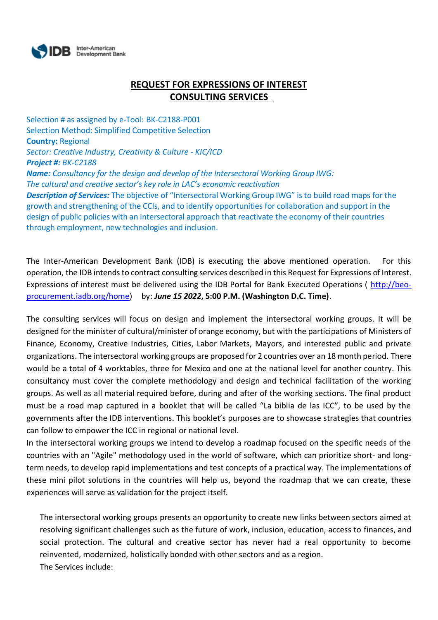

## **REQUEST FOR EXPRESSIONS OF INTEREST CONSULTING SERVICES**

Selection # as assigned by e-Tool: BK-C2188-P001 Selection Method: Simplified Competitive Selection **Country:** Regional *Sector: Creative Industry, Creativity & Culture - KIC/ICD Project #: BK-C2188 Name: Consultancy for the design and develop of the Intersectoral Working Group IWG: The cultural and creative sector's key role in LAC's economic reactivation Description of Services:* The objective of "Intersectoral Working Group IWG" is to build road maps for the growth and strengthening of the CCIs, and to identify opportunities for collaboration and support in the design of public policies with an intersectoral approach that reactivate the economy of their countries through employment, new technologies and inclusion.

The Inter-American Development Bank (IDB) is executing the above mentioned operation. For this operation, the IDB intends to contract consulting services described in this Request for Expressions of Interest. Expressions of interest must be delivered using the IDB Portal for Bank Executed Operations ( [http://beo](http://beo-procurement.iadb.org/home)[procurement.iadb.org/home\)](http://beo-procurement.iadb.org/home) by: *June 15 2022***, 5:00 P.M. (Washington D.C. Time)**.

The consulting services will focus on design and implement the intersectoral working groups. It will be designed for the minister of cultural/minister of orange economy, but with the participations of Ministers of Finance, Economy, Creative Industries, Cities, Labor Markets, Mayors, and interested public and private organizations. The intersectoral working groups are proposed for 2 countries over an 18 month period. There would be a total of 4 worktables, three for Mexico and one at the national level for another country. This consultancy must cover the complete methodology and design and technical facilitation of the working groups. As well as all material required before, during and after of the working sections. The final product must be a road map captured in a booklet that will be called "La biblia de las ICC", to be used by the governments after the IDB interventions. This booklet's purposes are to showcase strategies that countries can follow to empower the ICC in regional or national level.

In the intersectoral working groups we intend to develop a roadmap focused on the specific needs of the countries with an "Agile" methodology used in the world of software, which can prioritize short- and longterm needs, to develop rapid implementations and test concepts of a practical way. The implementations of these mini pilot solutions in the countries will help us, beyond the roadmap that we can create, these experiences will serve as validation for the project itself.

The intersectoral working groups presents an opportunity to create new links between sectors aimed at resolving significant challenges such as the future of work, inclusion, education, access to finances, and social protection. The cultural and creative sector has never had a real opportunity to become reinvented, modernized, holistically bonded with other sectors and as a region. The Services include: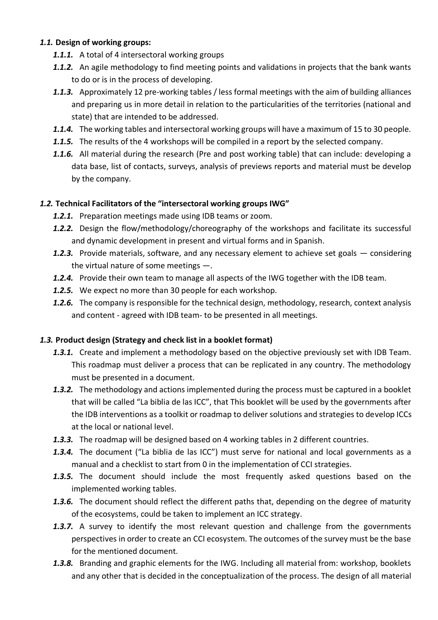## *1.1.* **Design of working groups:**

- *1.1.1.* A total of 4 intersectoral working groups
- *1.1.2.* An agile methodology to find meeting points and validations in projects that the bank wants to do or is in the process of developing.
- *1.1.3.* Approximately 12 pre-working tables / less formal meetings with the aim of building alliances and preparing us in more detail in relation to the particularities of the territories (national and state) that are intended to be addressed.
- *1.1.4.* The working tables and intersectoral working groups will have a maximum of 15 to 30 people.
- *1.1.5.* The results of the 4 workshops will be compiled in a report by the selected company.
- *1.1.6.* All material during the research (Pre and post working table) that can include: developing a data base, list of contacts, surveys, analysis of previews reports and material must be develop by the company.

## *1.2.* **Technical Facilitators of the "intersectoral working groups IWG"**

- *1.2.1.* Preparation meetings made using IDB teams or zoom.
- *1.2.2.* Design the flow/methodology/choreography of the workshops and facilitate its successful and dynamic development in present and virtual forms and in Spanish.
- *1.2.3.* Provide materials, software, and any necessary element to achieve set goals considering the virtual nature of some meetings —.
- *1.2.4.* Provide their own team to manage all aspects of the IWG together with the IDB team.
- *1.2.5.* We expect no more than 30 people for each workshop.
- *1.2.6.* The company is responsible for the technical design, methodology, research, context analysis and content - agreed with IDB team- to be presented in all meetings.

## *1.3.* **Product design (Strategy and check list in a booklet format)**

- *1.3.1.* Create and implement a methodology based on the objective previously set with IDB Team. This roadmap must deliver a process that can be replicated in any country. The methodology must be presented in a document.
- *1.3.2.* The methodology and actions implemented during the process must be captured in a booklet that will be called "La biblia de las ICC", that This booklet will be used by the governments after the IDB interventions as a toolkit or roadmap to deliver solutions and strategies to develop ICCs at the local or national level.
- *1.3.3.* The roadmap will be designed based on 4 working tables in 2 different countries.
- *1.3.4.* The document ("La biblia de las ICC") must serve for national and local governments as a manual and a checklist to start from 0 in the implementation of CCI strategies.
- *1.3.5.* The document should include the most frequently asked questions based on the implemented working tables.
- *1.3.6.* The document should reflect the different paths that, depending on the degree of maturity of the ecosystems, could be taken to implement an ICC strategy.
- *1.3.7.* A survey to identify the most relevant question and challenge from the governments perspectives in order to create an CCI ecosystem. The outcomes of the survey must be the base for the mentioned document.
- *1.3.8.* Branding and graphic elements for the IWG. Including all material from: workshop, booklets and any other that is decided in the conceptualization of the process. The design of all material